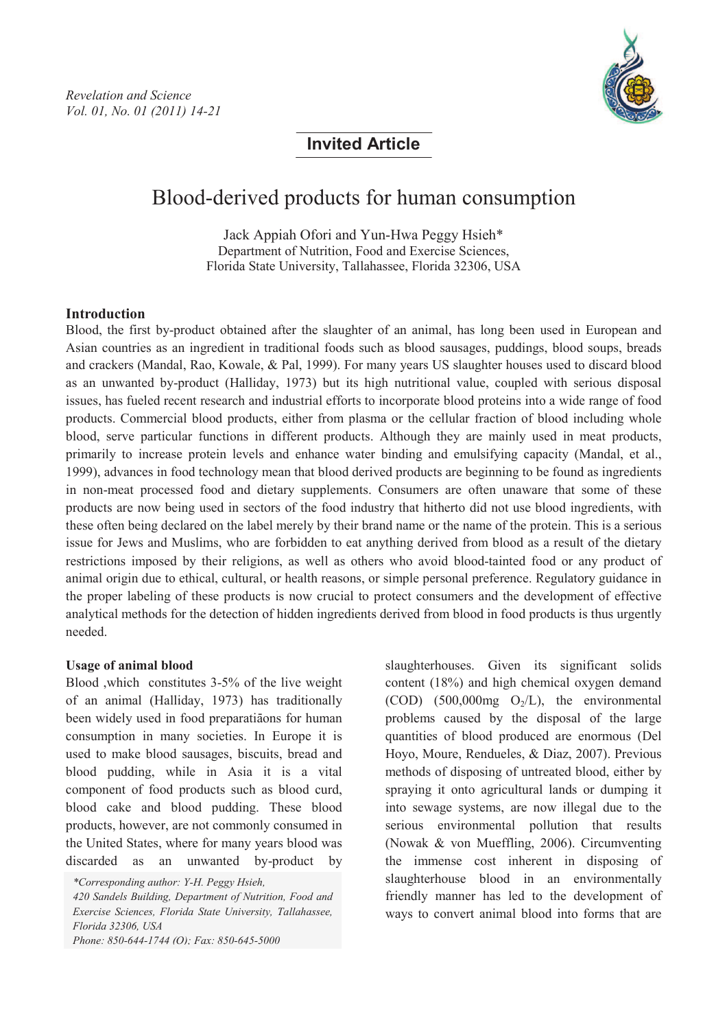

**Invited Article**

# Blood-derived products for human consumption

Jack Appiah Ofori and Yun-Hwa Peggy Hsieh\* Department of Nutrition, Food and Exercise Sciences, Florida State University, Tallahassee, Florida 32306, USA

#### **Introduction**

Blood, the first by-product obtained after the slaughter of an animal, has long been used in European and Asian countries as an ingredient in traditional foods such as blood sausages, puddings, blood soups, breads and crackers (Mandal, Rao, Kowale, & Pal, 1999). For many years US slaughter houses used to discard blood as an unwanted by-product (Halliday, 1973) but its high nutritional value, coupled with serious disposal issues, has fueled recent research and industrial efforts to incorporate blood proteins into a wide range of food products. Commercial blood products, either from plasma or the cellular fraction of blood including whole blood, serve particular functions in different products. Although they are mainly used in meat products, primarily to increase protein levels and enhance water binding and emulsifying capacity (Mandal, et al., 1999), advances in food technology mean that blood derived products are beginning to be found as ingredients in non-meat processed food and dietary supplements. Consumers are often unaware that some of these products are now being used in sectors of the food industry that hitherto did not use blood ingredients, with these often being declared on the label merely by their brand name or the name of the protein. This is a serious issue for Jews and Muslims, who are forbidden to eat anything derived from blood as a result of the dietary restrictions imposed by their religions, as well as others who avoid blood-tainted food or any product of animal origin due to ethical, cultural, or health reasons, or simple personal preference. Regulatory guidance in the proper labeling of these products is now crucial to protect consumers and the development of effective analytical methods for the detection of hidden ingredients derived from blood in food products is thus urgently needed.

#### **Usage of animal blood**

Blood ,which constitutes 3-5% of the live weight of an animal (Halliday, 1973) has traditionally been widely used in food preparations for human consumption in many societies. In Europe it is used to make blood sausages, biscuits, bread and blood pudding, while in Asia it is a vital component of food products such as blood curd, blood cake and blood pudding. These blood products, however, are not commonly consumed in the United States, where for many years blood was discarded as an unwanted by-product by

*420 Sandels Building, Department of Nutrition, Food and Exercise Sciences, Florida State University, Tallahassee, Florida 32306, USA Phone: 850-644-1744 (O); Fax: 850-645-5000*

slaughterhouses. Given its significant solids content (18%) and high chemical oxygen demand (COD) (500,000mg  $O<sub>2</sub>/L$ ), the environmental problems caused by the disposal of the large quantities of blood produced are enormous (Del Hoyo, Moure, Rendueles, & Diaz, 2007). Previous methods of disposing of untreated blood, either by spraying it onto agricultural lands or dumping it into sewage systems, are now illegal due to the serious environmental pollution that results (Nowak & von Mueffling, 2006). Circumventing the immense cost inherent in disposing of slaughterhouse blood in an environmentally friendly manner has led to the development of ways to convert animal blood into forms that are

*<sup>\*</sup>Corresponding author: Y-H. Peggy Hsieh,*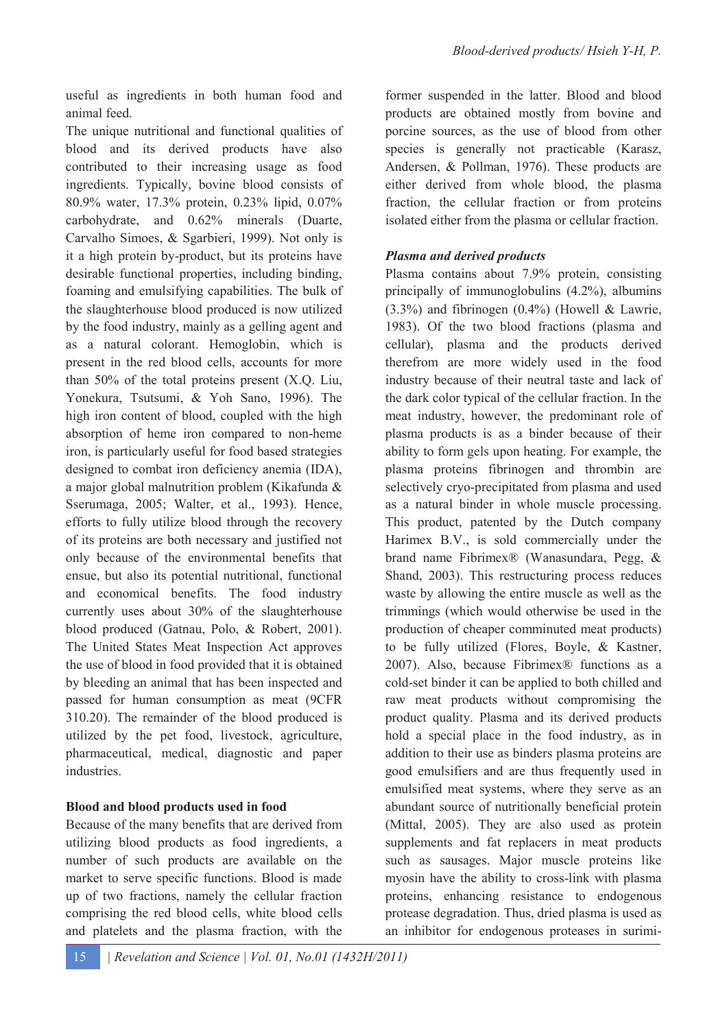useful as ingredients in both human food and animal feed.

The unique nutritional and functional qualities of blood and its derived products have also contributed to their increasing usage as food ingredients. Typically, bovine blood consists of 80.9% water, 17.3% protein, 0.23% lipid, 0.07% carbohydrate, and 0.62% minerals (Duarte, Carvalho Simoes, & Sgarbieri, 1999). Not only is it a high protein by-product, but its proteins have desirable functional properties, including binding, foaming and emulsifying capabilities. The bulk of the slaughterhouse blood produced is now utilized by the food industry, mainly as a gelling agent and as a natural colorant. Hemoglobin, which is present in the red blood cells, accounts for more than 50% of the total proteins present (X.Q. Liu, Yonekura, Tsutsumi, & Yoh Sano, 1996). The high iron content of blood, coupled with the high absorption of heme iron compared to non-heme iron, is particularly useful for food based strategies designed to combat iron deficiency anemia (IDA), a major global malnutrition problem (Kikafunda & Sserumaga, 2005; Walter, et al., 1993). Hence, efforts to fully utilize blood through the recovery of its proteins are both necessary and justified not only because of the environmental benefits that ensue, but also its potential nutritional, functional and economical benefits. The food industry currently uses about 30% of the slaughterhouse blood produced (Gatnau, Polo, & Robert, 2001). The United States Meat Inspection Act approves the use of blood in food provided that it is obtained by bleeding an animal that has been inspected and passed for human consumption as meat (9CFR 310.20). The remainder of the blood produced is utilized by the pet food, livestock, agriculture, pharmaceutical, medical, diagnostic and paper **industries** 

### **Blood and blood products used in food**

Because of the many benefits that are derived from utilizing blood products as food ingredients, a number of such products are available on the market to serve specific functions. Blood is made up of two fractions, namely the cellular fraction comprising the red blood cells, white blood cells and platelets and the plasma fraction, with the former suspended in the latter. Blood and blood products are obtained mostly from bovine and porcine sources, as the use of blood from other species is generally not practicable (Karasz, Andersen, & Pollman, 1976). These products are either derived from whole blood, the plasma fraction, the cellular fraction or from proteins isolated either from the plasma or cellular fraction.

### *Plasma and derived products*

Plasma contains about 7.9% protein, consisting principally of immunoglobulins (4.2%), albumins (3.3%) and fibrinogen (0.4%) (Howell & Lawrie, 1983). Of the two blood fractions (plasma and cellular), plasma and the products derived therefrom are more widely used in the food industry because of their neutral taste and lack of the dark color typical of the cellular fraction. In the meat industry, however, the predominant role of plasma products is as a binder because of their ability to form gels upon heating. For example, the plasma proteins fibrinogen and thrombin are selectively cryo-precipitated from plasma and used as a natural binder in whole muscle processing. This product, patented by the Dutch company Harimex B.V., is sold commercially under the brand name Fibrimex® (Wanasundara, Pegg, & Shand, 2003). This restructuring process reduces waste by allowing the entire muscle as well as the trimmings (which would otherwise be used in the production of cheaper comminuted meat products) to be fully utilized (Flores, Boyle, & Kastner, 2007). Also, because Fibrimex® functions as a cold-set binder it can be applied to both chilled and raw meat products without compromising the product quality. Plasma and its derived products hold a special place in the food industry, as in addition to their use as binders plasma proteins are good emulsifiers and are thus frequently used in emulsified meat systems, where they serve as an abundant source of nutritionally beneficial protein (Mittal, 2005). They are also used as protein supplements and fat replacers in meat products such as sausages. Major muscle proteins like myosin have the ability to cross-link with plasma proteins, enhancing resistance to endogenous protease degradation. Thus, dried plasma is used as an inhibitor for endogenous proteases in surimi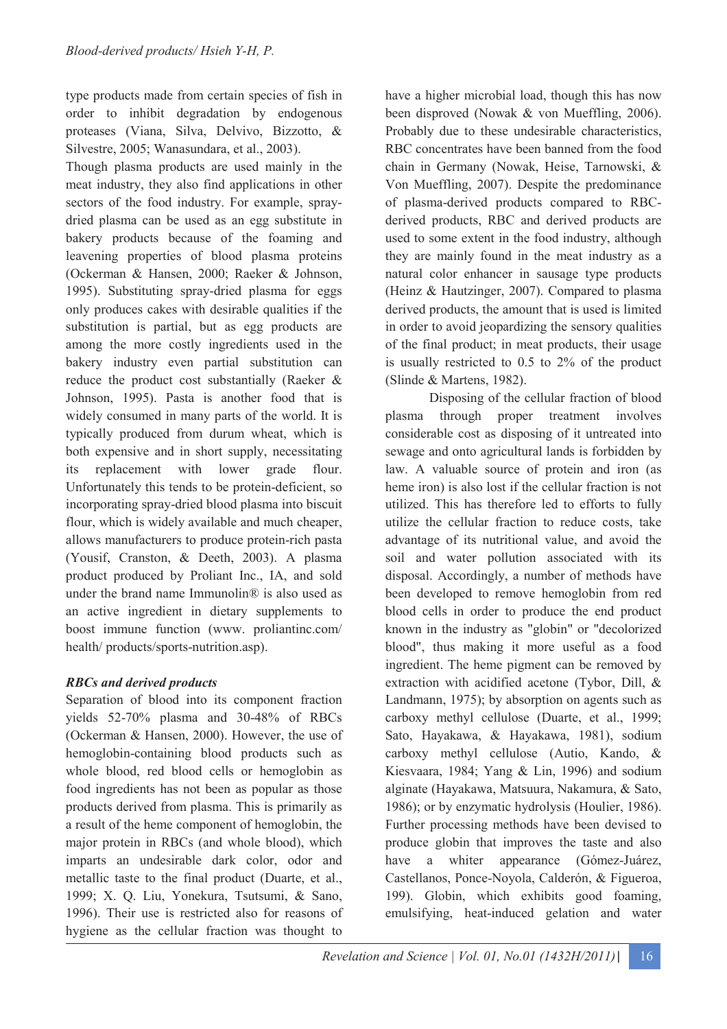type products made from certain species of fish in order to inhibit degradation by endogenous proteases (Viana, Silva, Delvivo, Bizzotto, & Silvestre, 2005; Wanasundara, et al., 2003).

Though plasma products are used mainly in the meat industry, they also find applications in other sectors of the food industry. For example, spraydried plasma can be used as an egg substitute in bakery products because of the foaming and leavening properties of blood plasma proteins (Ockerman & Hansen, 2000; Raeker & Johnson, 1995). Substituting spray-dried plasma for eggs only produces cakes with desirable qualities if the substitution is partial, but as egg products are among the more costly ingredients used in the bakery industry even partial substitution can reduce the product cost substantially (Raeker & Johnson, 1995). Pasta is another food that is widely consumed in many parts of the world. It is typically produced from durum wheat, which is both expensive and in short supply, necessitating its replacement with lower grade flour. Unfortunately this tends to be protein-deficient, so incorporating spray-dried blood plasma into biscuit flour, which is widely available and much cheaper, allows manufacturers to produce protein-rich pasta (Yousif, Cranston, & Deeth, 2003). A plasma product produced by Proliant Inc., IA, and sold under the brand name Immunolin® is also used as an active ingredient in dietary supplements to boost immune function (www. proliantinc.com/ health/ products/sports-nutrition.asp).

### *RBCs and derived products*

Separation of blood into its component fraction yields 52-70% plasma and 30-48% of RBCs (Ockerman & Hansen, 2000). However, the use of hemoglobin-containing blood products such as whole blood, red blood cells or hemoglobin as food ingredients has not been as popular as those products derived from plasma. This is primarily as a result of the heme component of hemoglobin, the major protein in RBCs (and whole blood), which imparts an undesirable dark color, odor and metallic taste to the final product (Duarte, et al., 1999; X. Q. Liu, Yonekura, Tsutsumi, & Sano, 1996). Their use is restricted also for reasons of hygiene as the cellular fraction was thought to

have a higher microbial load, though this has now been disproved (Nowak & von Mueffling, 2006). Probably due to these undesirable characteristics, RBC concentrates have been banned from the food chain in Germany (Nowak, Heise, Tarnowski, & Von Mueffling, 2007). Despite the predominance of plasma-derived products compared to RBCderived products, RBC and derived products are used to some extent in the food industry, although they are mainly found in the meat industry as a natural color enhancer in sausage type products (Heinz & Hautzinger, 2007). Compared to plasma derived products, the amount that is used is limited in order to avoid jeopardizing the sensory qualities of the final product; in meat products, their usage is usually restricted to 0.5 to 2% of the product (Slinde & Martens, 1982).

 Disposing of the cellular fraction of blood plasma through proper treatment involves considerable cost as disposing of it untreated into sewage and onto agricultural lands is forbidden by law. A valuable source of protein and iron (as heme iron) is also lost if the cellular fraction is not utilized. This has therefore led to efforts to fully utilize the cellular fraction to reduce costs, take advantage of its nutritional value, and avoid the soil and water pollution associated with its disposal. Accordingly, a number of methods have been developed to remove hemoglobin from red blood cells in order to produce the end product known in the industry as "globin" or "decolorized blood", thus making it more useful as a food ingredient. The heme pigment can be removed by extraction with acidified acetone (Tybor, Dill, & Landmann, 1975); by absorption on agents such as carboxy methyl cellulose (Duarte, et al., 1999; Sato, Hayakawa, & Hayakawa, 1981), sodium carboxy methyl cellulose (Autio, Kando, & Kiesvaara, 1984; Yang & Lin, 1996) and sodium alginate (Hayakawa, Matsuura, Nakamura, & Sato, 1986); or by enzymatic hydrolysis (Houlier, 1986). Further processing methods have been devised to produce globin that improves the taste and also have a whiter appearance (Gómez-Juárez, Castellanos, Ponce-Noyola, Calderón, & Figueroa, 199). Globin, which exhibits good foaming, emulsifying, heat-induced gelation and water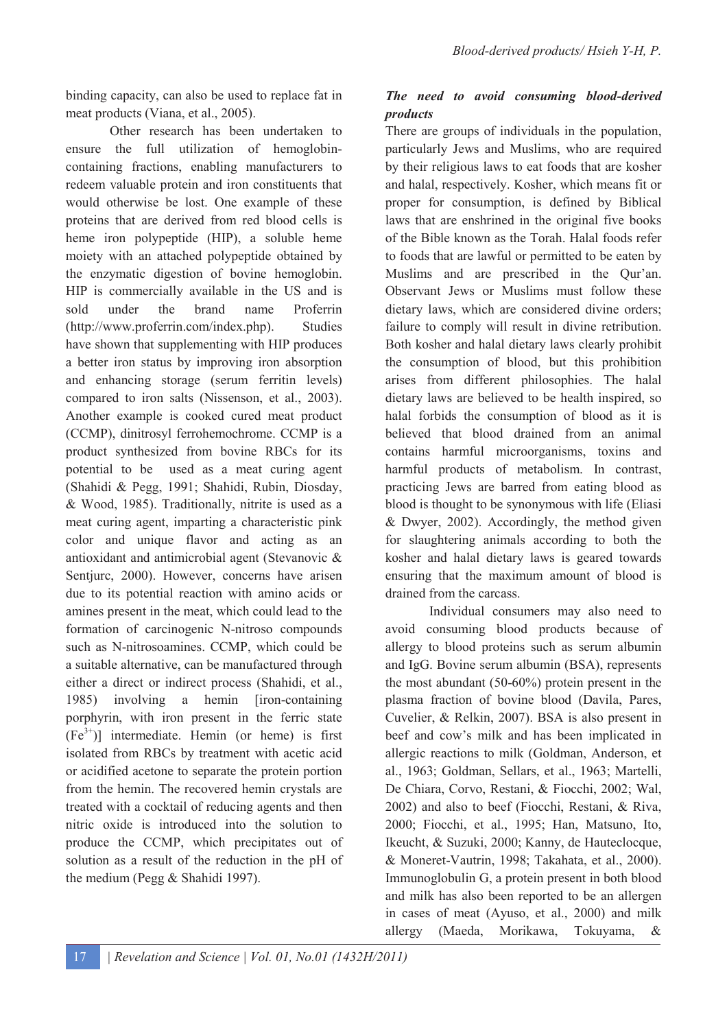binding capacity, can also be used to replace fat in meat products (Viana, et al., 2005).

 Other research has been undertaken to ensure the full utilization of hemoglobincontaining fractions, enabling manufacturers to redeem valuable protein and iron constituents that would otherwise be lost. One example of these proteins that are derived from red blood cells is heme iron polypeptide (HIP), a soluble heme moiety with an attached polypeptide obtained by the enzymatic digestion of bovine hemoglobin. HIP is commercially available in the US and is sold under the brand name Proferrin (http://www.proferrin.com/index.php). Studies have shown that supplementing with HIP produces a better iron status by improving iron absorption and enhancing storage (serum ferritin levels) compared to iron salts (Nissenson, et al., 2003). Another example is cooked cured meat product (CCMP), dinitrosyl ferrohemochrome. CCMP is a product synthesized from bovine RBCs for its potential to be used as a meat curing agent (Shahidi & Pegg, 1991; Shahidi, Rubin, Diosday, & Wood, 1985). Traditionally, nitrite is used as a meat curing agent, imparting a characteristic pink color and unique flavor and acting as an antioxidant and antimicrobial agent (Stevanovic & Sentjurc, 2000). However, concerns have arisen due to its potential reaction with amino acids or amines present in the meat, which could lead to the formation of carcinogenic N-nitroso compounds such as N-nitrosoamines. CCMP, which could be a suitable alternative, can be manufactured through either a direct or indirect process (Shahidi, et al., 1985) involving a hemin [iron-containing porphyrin, with iron present in the ferric state  $(Fe^{3+})$ ] intermediate. Hemin (or heme) is first isolated from RBCs by treatment with acetic acid or acidified acetone to separate the protein portion from the hemin. The recovered hemin crystals are treated with a cocktail of reducing agents and then nitric oxide is introduced into the solution to produce the CCMP, which precipitates out of solution as a result of the reduction in the pH of the medium (Pegg & Shahidi 1997).

## *The need to avoid consuming blood-derived products*

There are groups of individuals in the population, particularly Jews and Muslims, who are required by their religious laws to eat foods that are kosher and halal, respectively. Kosher, which means fit or proper for consumption, is defined by Biblical laws that are enshrined in the original five books of the Bible known as the Torah. Halal foods refer to foods that are lawful or permitted to be eaten by Muslims and are prescribed in the Qur'an. Observant Jews or Muslims must follow these dietary laws, which are considered divine orders; failure to comply will result in divine retribution. Both kosher and halal dietary laws clearly prohibit the consumption of blood, but this prohibition arises from different philosophies. The halal dietary laws are believed to be health inspired, so halal forbids the consumption of blood as it is believed that blood drained from an animal contains harmful microorganisms, toxins and harmful products of metabolism. In contrast, practicing Jews are barred from eating blood as blood is thought to be synonymous with life (Eliasi & Dwyer, 2002). Accordingly, the method given for slaughtering animals according to both the kosher and halal dietary laws is geared towards ensuring that the maximum amount of blood is drained from the carcass.

 Individual consumers may also need to avoid consuming blood products because of allergy to blood proteins such as serum albumin and IgG. Bovine serum albumin (BSA), represents the most abundant (50-60%) protein present in the plasma fraction of bovine blood (Davila, Pares, Cuvelier, & Relkin, 2007). BSA is also present in beef and cow's milk and has been implicated in allergic reactions to milk (Goldman, Anderson, et al., 1963; Goldman, Sellars, et al., 1963; Martelli, De Chiara, Corvo, Restani, & Fiocchi, 2002; Wal, 2002) and also to beef (Fiocchi, Restani, & Riva, 2000; Fiocchi, et al., 1995; Han, Matsuno, Ito, Ikeucht, & Suzuki, 2000; Kanny, de Hauteclocque, & Moneret-Vautrin, 1998; Takahata, et al., 2000). Immunoglobulin G, a protein present in both blood and milk has also been reported to be an allergen in cases of meat (Ayuso, et al., 2000) and milk allergy (Maeda, Morikawa, Tokuyama, &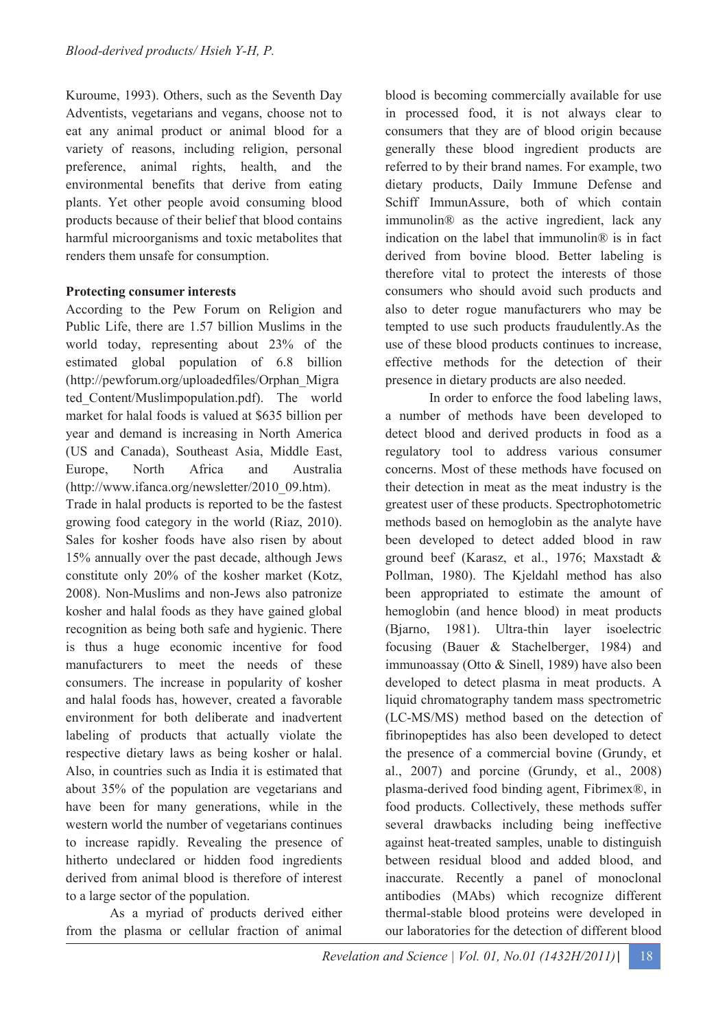Kuroume, 1993). Others, such as the Seventh Day Adventists, vegetarians and vegans, choose not to eat any animal product or animal blood for a variety of reasons, including religion, personal preference, animal rights, health, and the environmental benefits that derive from eating plants. Yet other people avoid consuming blood products because of their belief that blood contains harmful microorganisms and toxic metabolites that renders them unsafe for consumption.

### **Protecting consumer interests**

According to the Pew Forum on Religion and Public Life, there are 1.57 billion Muslims in the world today, representing about 23% of the estimated global population of 6.8 billion (http://pewforum.org/uploadedfiles/Orphan\_Migra ted\_Content/Muslimpopulation.pdf). The world market for halal foods is valued at \$635 billion per year and demand is increasing in North America (US and Canada), Southeast Asia, Middle East, Europe, North Africa and Australia (http://www.ifanca.org/newsletter/2010\_09.htm). Trade in halal products is reported to be the fastest growing food category in the world (Riaz, 2010). Sales for kosher foods have also risen by about 15% annually over the past decade, although Jews constitute only 20% of the kosher market (Kotz, 2008). Non-Muslims and non-Jews also patronize kosher and halal foods as they have gained global recognition as being both safe and hygienic. There is thus a huge economic incentive for food manufacturers to meet the needs of these consumers. The increase in popularity of kosher and halal foods has, however, created a favorable environment for both deliberate and inadvertent labeling of products that actually violate the respective dietary laws as being kosher or halal. Also, in countries such as India it is estimated that about 35% of the population are vegetarians and have been for many generations, while in the western world the number of vegetarians continues to increase rapidly. Revealing the presence of hitherto undeclared or hidden food ingredients derived from animal blood is therefore of interest to a large sector of the population.

 As a myriad of products derived either from the plasma or cellular fraction of animal

blood is becoming commercially available for use in processed food, it is not always clear to consumers that they are of blood origin because generally these blood ingredient products are referred to by their brand names. For example, two dietary products, Daily Immune Defense and Schiff ImmunAssure, both of which contain immunolin® as the active ingredient, lack any indication on the label that immunolin® is in fact derived from bovine blood. Better labeling is therefore vital to protect the interests of those consumers who should avoid such products and also to deter rogue manufacturers who may be tempted to use such products fraudulently.As the use of these blood products continues to increase, effective methods for the detection of their presence in dietary products are also needed.

In order to enforce the food labeling laws, a number of methods have been developed to detect blood and derived products in food as a regulatory tool to address various consumer concerns. Most of these methods have focused on their detection in meat as the meat industry is the greatest user of these products. Spectrophotometric methods based on hemoglobin as the analyte have been developed to detect added blood in raw ground beef (Karasz, et al., 1976; Maxstadt & Pollman, 1980). The Kjeldahl method has also been appropriated to estimate the amount of hemoglobin (and hence blood) in meat products (Bjarno, 1981). Ultra-thin layer isoelectric focusing (Bauer & Stachelberger, 1984) and immunoassay (Otto & Sinell, 1989) have also been developed to detect plasma in meat products. A liquid chromatography tandem mass spectrometric (LC-MS/MS) method based on the detection of fibrinopeptides has also been developed to detect the presence of a commercial bovine (Grundy, et al., 2007) and porcine (Grundy, et al., 2008) plasma-derived food binding agent, Fibrimex®, in food products. Collectively, these methods suffer several drawbacks including being ineffective against heat-treated samples, unable to distinguish between residual blood and added blood, and inaccurate. Recently a panel of monoclonal antibodies (MAbs) which recognize different thermal-stable blood proteins were developed in our laboratories for the detection of different blood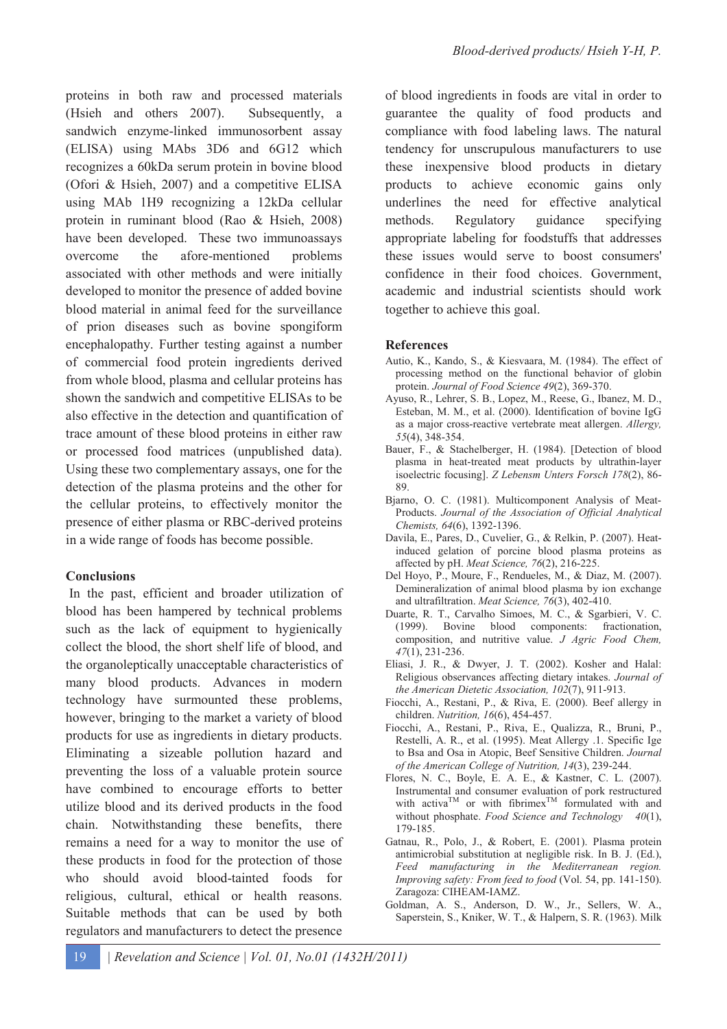proteins in both raw and processed materials (Hsieh and others 2007). Subsequently, a sandwich enzyme-linked immunosorbent assay (ELISA) using MAbs 3D6 and 6G12 which recognizes a 60kDa serum protein in bovine blood (Ofori & Hsieh, 2007) and a competitive ELISA using MAb 1H9 recognizing a 12kDa cellular protein in ruminant blood (Rao & Hsieh, 2008) have been developed. These two immunoassays overcome the afore-mentioned problems associated with other methods and were initially developed to monitor the presence of added bovine blood material in animal feed for the surveillance of prion diseases such as bovine spongiform encephalopathy. Further testing against a number of commercial food protein ingredients derived from whole blood, plasma and cellular proteins has shown the sandwich and competitive ELISAs to be also effective in the detection and quantification of trace amount of these blood proteins in either raw or processed food matrices (unpublished data). Using these two complementary assays, one for the detection of the plasma proteins and the other for the cellular proteins, to effectively monitor the presence of either plasma or RBC-derived proteins in a wide range of foods has become possible.

### **Conclusions**

 In the past, efficient and broader utilization of blood has been hampered by technical problems such as the lack of equipment to hygienically collect the blood, the short shelf life of blood, and the organoleptically unacceptable characteristics of many blood products. Advances in modern technology have surmounted these problems, however, bringing to the market a variety of blood products for use as ingredients in dietary products. Eliminating a sizeable pollution hazard and preventing the loss of a valuable protein source have combined to encourage efforts to better utilize blood and its derived products in the food chain. Notwithstanding these benefits, there remains a need for a way to monitor the use of these products in food for the protection of those who should avoid blood-tainted foods for religious, cultural, ethical or health reasons. Suitable methods that can be used by both regulators and manufacturers to detect the presence

of blood ingredients in foods are vital in order to guarantee the quality of food products and compliance with food labeling laws. The natural tendency for unscrupulous manufacturers to use these inexpensive blood products in dietary products to achieve economic gains only underlines the need for effective analytical methods. Regulatory guidance specifying appropriate labeling for foodstuffs that addresses these issues would serve to boost consumers' confidence in their food choices. Government, academic and industrial scientists should work together to achieve this goal.

### **References**

- Autio, K., Kando, S., & Kiesvaara, M. (1984). The effect of processing method on the functional behavior of globin protein. *Journal of Food Science 49*(2), 369-370.
- Ayuso, R., Lehrer, S. B., Lopez, M., Reese, G., Ibanez, M. D., Esteban, M. M., et al. (2000). Identification of bovine IgG as a major cross-reactive vertebrate meat allergen. *Allergy, 55*(4), 348-354.
- Bauer, F., & Stachelberger, H. (1984). [Detection of blood plasma in heat-treated meat products by ultrathin-layer isoelectric focusing]. *Z Lebensm Unters Forsch 178*(2), 86- 89.
- Bjarno, O. C. (1981). Multicomponent Analysis of Meat-Products. *Journal of the Association of Official Analytical Chemists, 64*(6), 1392-1396.
- Davila, E., Pares, D., Cuvelier, G., & Relkin, P. (2007). Heatinduced gelation of porcine blood plasma proteins as affected by pH. *Meat Science, 76*(2), 216-225.
- Del Hoyo, P., Moure, F., Rendueles, M., & Diaz, M. (2007). Demineralization of animal blood plasma by ion exchange and ultrafiltration. *Meat Science, 76*(3), 402-410.
- Duarte, R. T., Carvalho Simoes, M. C., & Sgarbieri, V. C. (1999). Bovine blood components: fractionation, composition, and nutritive value. *J Agric Food Chem, 47*(1), 231-236.
- Eliasi, J. R., & Dwyer, J. T. (2002). Kosher and Halal: Religious observances affecting dietary intakes. *Journal of the American Dietetic Association, 102*(7), 911-913.
- Fiocchi, A., Restani, P., & Riva, E. (2000). Beef allergy in children. *Nutrition, 16*(6), 454-457.
- Fiocchi, A., Restani, P., Riva, E., Qualizza, R., Bruni, P., Restelli, A. R., et al. (1995). Meat Allergy .1. Specific Ige to Bsa and Osa in Atopic, Beef Sensitive Children. *Journal of the American College of Nutrition, 14*(3), 239-244.
- Flores, N. C., Boyle, E. A. E., & Kastner, C. L. (2007). Instrumental and consumer evaluation of pork restructured with activa<sup>TM</sup> or with fibrimex<sup>TM</sup> formulated with and without phosphate. *Food Science and Technology 40*(1), 179-185.
- Gatnau, R., Polo, J., & Robert, E. (2001). Plasma protein antimicrobial substitution at negligible risk. In B. J. (Ed.), *Feed manufacturing in the Mediterranean region. Improving safety: From feed to food* (Vol. 54, pp. 141-150). Zaragoza: CIHEAM-IAMZ.
- Goldman, A. S., Anderson, D. W., Jr., Sellers, W. A., Saperstein, S., Kniker, W. T., & Halpern, S. R. (1963). Milk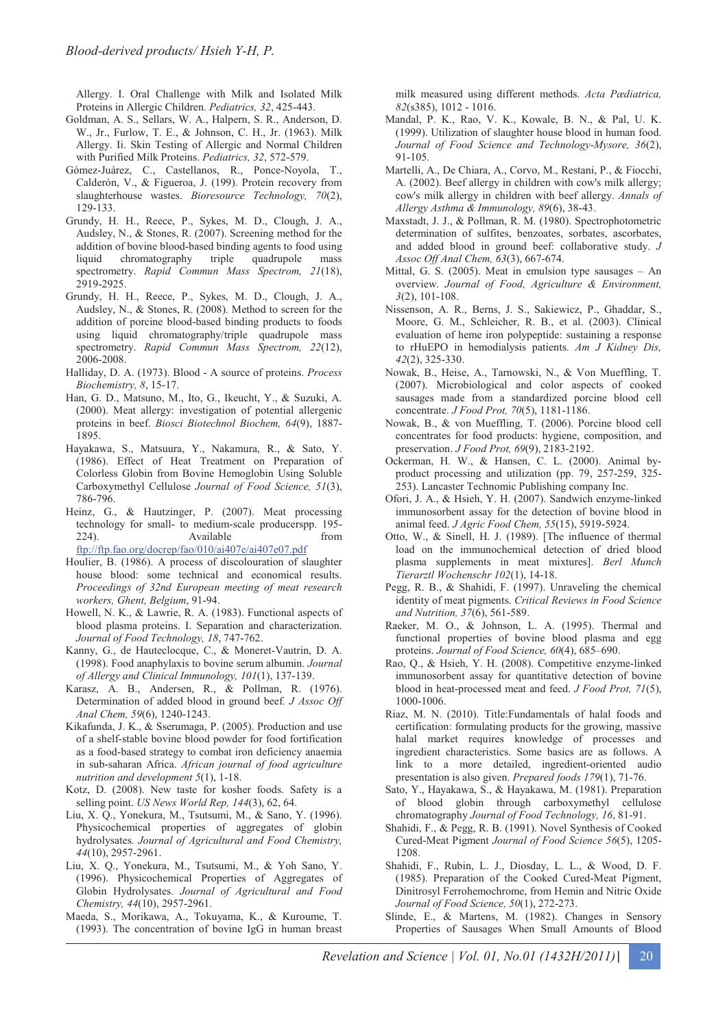Allergy. I. Oral Challenge with Milk and Isolated Milk Proteins in Allergic Children. *Pediatrics, 32*, 425-443.

- Goldman, A. S., Sellars, W. A., Halpern, S. R., Anderson, D. W., Jr., Furlow, T. E., & Johnson, C. H., Jr. (1963). Milk Allergy. Ii. Skin Testing of Allergic and Normal Children with Purified Milk Proteins. *Pediatrics, 32*, 572-579.
- Gómez-Juárez, C., Castellanos, R., Ponce-Noyola, T., Calderón, V., & Figueroa, J. (199). Protein recovery from slaughterhouse wastes. *Bioresource Technology, 70*(2), 129-133.
- Grundy, H. H., Reece, P., Sykes, M. D., Clough, J. A., Audsley, N., & Stones, R. (2007). Screening method for the addition of bovine blood-based binding agents to food using liquid chromatography triple quadrupole mass spectrometry. *Rapid Commun Mass Spectrom, 21*(18), 2919-2925.
- Grundy, H. H., Reece, P., Sykes, M. D., Clough, J. A., Audsley, N., & Stones, R. (2008). Method to screen for the addition of porcine blood-based binding products to foods using liquid chromatography/triple quadrupole mass spectrometry. *Rapid Commun Mass Spectrom, 22*(12), 2006-2008.
- Halliday, D. A. (1973). Blood A source of proteins. *Process Biochemistry, 8*, 15-17.
- Han, G. D., Matsuno, M., Ito, G., Ikeucht, Y., & Suzuki, A. (2000). Meat allergy: investigation of potential allergenic proteins in beef. *Biosci Biotechnol Biochem, 64*(9), 1887- 1895.
- Hayakawa, S., Matsuura, Y., Nakamura, R., & Sato, Y. (1986). Effect of Heat Treatment on Preparation of Colorless Globin from Bovine Hemoglobin Using Soluble Carboxymethyl Cellulose *Journal of Food Science, 51*(3), 786-796.
- Heinz, G., & Hautzinger, P. (2007). Meat processing technology for small- to medium-scale producerspp. 195- 224). Available from ftp://ftp.fao.org/docrep/fao/010/ai407e/ai407e07.pdf
- Houlier, B. (1986). A process of discolouration of slaughter house blood: some technical and economical results. *Proceedings of 32nd European meeting of meat research workers, Ghent, Belgium*, 91-94.
- Howell, N. K., & Lawrie, R. A. (1983). Functional aspects of blood plasma proteins. I. Separation and characterization. *Journal of Food Technology, 18*, 747-762.
- Kanny, G., de Hauteclocque, C., & Moneret-Vautrin, D. A. (1998). Food anaphylaxis to bovine serum albumin. *Journal of Allergy and Clinical Immunology, 101*(1), 137-139.
- Karasz, A. B., Andersen, R., & Pollman, R. (1976). Determination of added blood in ground beef. *J Assoc Off Anal Chem, 59*(6), 1240-1243.
- Kikafunda, J. K., & Sserumaga, P. (2005). Production and use of a shelf-stable bovine blood powder for food fortification as a food-based strategy to combat iron deficiency anaemia in sub-saharan Africa. *African journal of food agriculture nutrition and development 5*(1), 1-18.
- Kotz, D. (2008). New taste for kosher foods. Safety is a selling point. *US News World Rep, 144*(3), 62, 64.
- Liu, X. Q., Yonekura, M., Tsutsumi, M., & Sano, Y. (1996). Physicochemical properties of aggregates of globin hydrolysates. *Journal of Agricultural and Food Chemistry, 44*(10), 2957-2961.
- Liu, X. Q., Yonekura, M., Tsutsumi, M., & Yoh Sano, Y. (1996). Physicochemical Properties of Aggregates of Globin Hydrolysates. *Journal of Agricultural and Food Chemistry, 44*(10), 2957-2961.
- Maeda, S., Morikawa, A., Tokuyama, K., & Kuroume, T. (1993). The concentration of bovine IgG in human breast

milk measured using different methods. *Acta Pædiatrica, 82*(s385), 1012 - 1016.

- Mandal, P. K., Rao, V. K., Kowale, B. N., & Pal, U. K. (1999). Utilization of slaughter house blood in human food. *Journal of Food Science and Technology-Mysore, 36*(2), 91-105.
- Martelli, A., De Chiara, A., Corvo, M., Restani, P., & Fiocchi, A. (2002). Beef allergy in children with cow's milk allergy; cow's milk allergy in children with beef allergy. *Annals of Allergy Asthma & Immunology, 89*(6), 38-43.
- Maxstadt, J. J., & Pollman, R. M. (1980). Spectrophotometric determination of sulfites, benzoates, sorbates, ascorbates, and added blood in ground beef: collaborative study. *J Assoc Off Anal Chem, 63*(3), 667-674.
- Mittal, G. S. (2005). Meat in emulsion type sausages An overview. *Journal of Food, Agriculture & Environment, 3*(2), 101-108.
- Nissenson, A. R., Berns, J. S., Sakiewicz, P., Ghaddar, S., Moore, G. M., Schleicher, R. B., et al. (2003). Clinical evaluation of heme iron polypeptide: sustaining a response to rHuEPO in hemodialysis patients. *Am J Kidney Dis, 42*(2), 325-330.
- Nowak, B., Heise, A., Tarnowski, N., & Von Mueffling, T. (2007). Microbiological and color aspects of cooked sausages made from a standardized porcine blood cell concentrate. *J Food Prot, 70*(5), 1181-1186.
- Nowak, B., & von Mueffling, T. (2006). Porcine blood cell concentrates for food products: hygiene, composition, and preservation. *J Food Prot, 69*(9), 2183-2192.
- Ockerman, H. W., & Hansen, C. L. (2000). Animal byproduct processing and utilization (pp. 79, 257-259, 325- 253). Lancaster Technomic Publishing company Inc.
- Ofori, J. A., & Hsieh, Y. H. (2007). Sandwich enzyme-linked immunosorbent assay for the detection of bovine blood in animal feed. *J Agric Food Chem, 55*(15), 5919-5924.
- Otto, W., & Sinell, H. J. (1989). [The influence of thermal load on the immunochemical detection of dried blood plasma supplements in meat mixtures]. *Berl Munch Tierarztl Wochenschr 102*(1), 14-18.
- Pegg, R. B., & Shahidi, F. (1997). Unraveling the chemical identity of meat pigments. *Critical Reviews in Food Science and Nutrition, 37*(6), 561-589.
- Raeker, M. O., & Johnson, L. A. (1995). Thermal and functional properties of bovine blood plasma and egg proteins. *Journal of Food Science, 60*(4), 685–690.
- Rao, Q., & Hsieh, Y. H. (2008). Competitive enzyme-linked immunosorbent assay for quantitative detection of bovine blood in heat-processed meat and feed. *J Food Prot, 71*(5), 1000-1006.
- Riaz, M. N. (2010). Title:Fundamentals of halal foods and certification: formulating products for the growing, massive halal market requires knowledge of processes and ingredient characteristics. Some basics are as follows. A link to a more detailed, ingredient-oriented audio presentation is also given. *Prepared foods 179*(1), 71-76.
- Sato, Y., Hayakawa, S., & Hayakawa, M. (1981). Preparation of blood globin through carboxymethyl cellulose chromatography *Journal of Food Technology, 16*, 81-91.
- Shahidi, F., & Pegg, R. B. (1991). Novel Synthesis of Cooked Cured-Meat Pigment *Journal of Food Science 56*(5), 1205- 1208.
- Shahidi, F., Rubin, L. J., Diosday, L. L., & Wood, D. F. (1985). Preparation of the Cooked Cured-Meat Pigment, Dinitrosyl Ferrohemochrome, from Hemin and Nitric Oxide *Journal of Food Science, 50*(1), 272-273.
- Slinde, E., & Martens, M. (1982). Changes in Sensory Properties of Sausages When Small Amounts of Blood